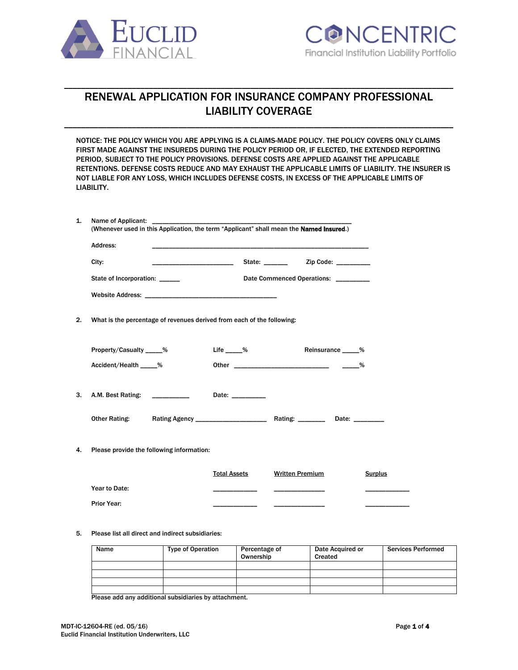



# RENEWAL APPLICATION FOR INSURANCE COMPANY PROFESSIONAL LIABILITY COVERAGE

\_\_\_\_\_\_\_\_\_\_\_\_\_\_\_\_\_\_\_\_\_\_\_\_\_\_\_\_\_\_\_\_\_\_\_\_\_\_\_\_\_\_\_\_\_\_\_\_\_\_\_\_\_\_\_\_\_\_\_\_\_\_\_\_\_\_\_\_\_\_\_\_\_\_\_\_\_\_\_\_\_\_\_\_\_\_\_\_\_\_\_\_

\_\_\_\_\_\_\_\_\_\_\_\_\_\_\_\_\_\_\_\_\_\_\_\_\_\_\_\_\_\_\_\_\_\_\_\_\_\_\_\_\_\_\_\_\_\_\_\_\_\_\_\_\_\_\_\_\_\_\_\_\_\_\_\_\_\_\_\_\_\_\_\_\_\_\_\_\_\_\_\_\_\_\_\_\_\_\_\_\_\_\_\_

NOTICE: THE POLICY WHICH YOU ARE APPLYING IS A CLAIMS-MADE POLICY. THE POLICY COVERS ONLY CLAIMS FIRST MADE AGAINST THE INSUREDS DURING THE POLICY PERIOD OR, IF ELECTED, THE EXTENDED REPORTING PERIOD, SUBJECT TO THE POLICY PROVISIONS. DEFENSE COSTS ARE APPLIED AGAINST THE APPLICABLE RETENTIONS. DEFENSE COSTS REDUCE AND MAY EXHAUST THE APPLICABLE LIMITS OF LIABILITY. THE INSURER IS NOT LIABLE FOR ANY LOSS, WHICH INCLUDES DEFENSE COSTS, IN EXCESS OF THE APPLICABLE LIMITS OF LIABILITY.

|    | (Whenever used in this Application, the term "Applicant" shall mean the Named Insured.) |                     |                                      |                |  |
|----|-----------------------------------------------------------------------------------------|---------------------|--------------------------------------|----------------|--|
|    | Address:                                                                                |                     |                                      |                |  |
|    | City:                                                                                   |                     |                                      |                |  |
|    | State of Incorporation: ______                                                          |                     | Date Commenced Operations: _________ |                |  |
|    |                                                                                         |                     |                                      |                |  |
| 2. | What is the percentage of revenues derived from each of the following:                  |                     |                                      |                |  |
|    | Property/Casualty _____%                                                                | Life %              | Reinsurance 50                       |                |  |
|    | Accident/Health _____%                                                                  |                     |                                      |                |  |
| 3. | A.M. Best Rating: ___________                                                           | Date: __________    |                                      |                |  |
|    | <b>Other Rating:</b>                                                                    |                     |                                      |                |  |
| 4. | Please provide the following information:                                               |                     |                                      |                |  |
|    |                                                                                         | <b>Total Assets</b> | <b>Written Premium</b>               | <b>Surplus</b> |  |
|    | Year to Date:                                                                           |                     |                                      |                |  |
|    |                                                                                         |                     |                                      |                |  |

#### 5. Please list all direct and indirect subsidiaries:

| Name | <b>Type of Operation</b> | Percentage of<br>Ownership | Date Acquired or<br>Created | <b>Services Performed</b> |
|------|--------------------------|----------------------------|-----------------------------|---------------------------|
|      |                          |                            |                             |                           |
|      |                          |                            |                             |                           |
|      |                          |                            |                             |                           |
|      |                          |                            |                             |                           |

Please add any additional subsidiaries by attachment.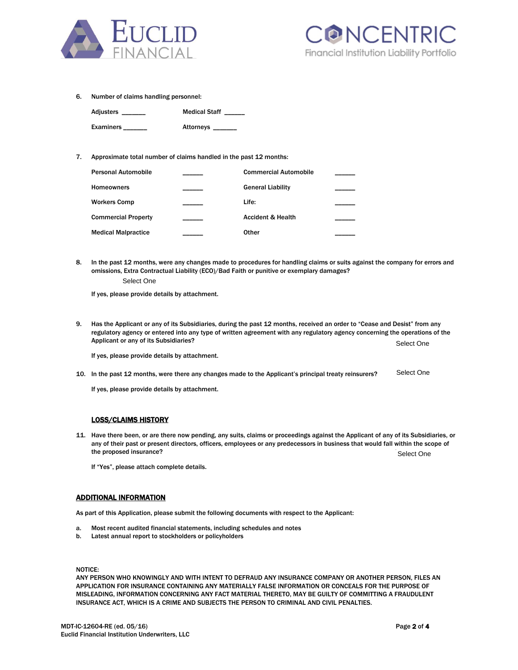



6. Number of claims handling personnel:

| Adjusters ___ | <b>Medical Staff</b> |
|---------------|----------------------|
| Examiners     | Attorneys __         |

### 7. Approximate total number of claims handled in the past 12 months:

| Personal Automobile        | <b>Commercial Automobile</b> |  |
|----------------------------|------------------------------|--|
| Homeowners                 | <b>General Liability</b>     |  |
| <b>Workers Comp</b>        | Life:                        |  |
| <b>Commercial Property</b> | <b>Accident &amp; Health</b> |  |
| <b>Medical Malpractice</b> | Other                        |  |

8. In the past 12 months, were any changes made to procedures for handling claims or suits against the company for errors and omissions, Extra Contractual Liability (ECO)/Bad Faith or punitive or exemplary damages?

Select One

If yes, please provide details by attachment.

9. Has the Applicant or any of its Subsidiaries, during the past 12 months, received an order to "Cease and Desist" from any regulatory agency or entered into any type of written agreement with any regulatory agency concerning the operations of the Applicant or any of its Subsidiaries? Select One

If yes, please provide details by attachment.

10. In the past 12 months, were there any changes made to the Applicant's principal treaty reinsurers? Select One

If yes, please provide details by attachment.

### LOSS/CLAIMS HISTORY

11. Have there been, or are there now pending, any suits, claims or proceedings against the Applicant of any of its Subsidiaries, or any of their past or present directors, officers, employees or any predecessors in business that would fall within the scope of the proposed insurance? Select One

If "Yes", please attach complete details.

### ADDITIONAL INFORMATION

As part of this Application, please submit the following documents with respect to the Applicant:

- a. Most recent audited financial statements, including schedules and notes
- b. Latest annual report to stockholders or policyholders

NOTICE:

ANY PERSON WHO KNOWINGLY AND WITH INTENT TO DEFRAUD ANY INSURANCE COMPANY OR ANOTHER PERSON, FILES AN APPLICATION FOR INSURANCE CONTAINING ANY MATERIALLY FALSE INFORMATION OR CONCEALS FOR THE PURPOSE OF MISLEADING, INFORMATION CONCERNING ANY FACT MATERIAL THERETO, MAY BE GUILTY OF COMMITTING A FRAUDULENT INSURANCE ACT, WHICH IS A CRIME AND SUBJECTS THE PERSON TO CRIMINAL AND CIVIL PENALTIES.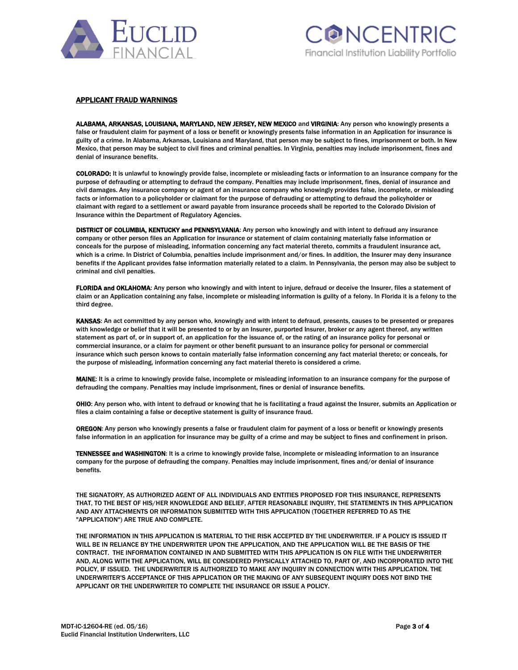



## APPLICANT FRAUD WARNINGS

ALABAMA, ARKANSAS, LOUISIANA, MARYLAND, NEW JERSEY, NEW MEXICO and VIRGINIA: Any person who knowingly presents a false or fraudulent claim for payment of a loss or benefit or knowingly presents false information in an Application for insurance is guilty of a crime. In Alabama, Arkansas, Louisiana and Maryland, that person may be subject to fines, imprisonment or both. In New Mexico, that person may be subject to civil fines and criminal penalties. In Virginia, penalties may include imprisonment, fines and denial of insurance benefits.

COLORADO: It is unlawful to knowingly provide false, incomplete or misleading facts or information to an insurance company for the purpose of defrauding or attempting to defraud the company. Penalties may include imprisonment, fines, denial of insurance and civil damages. Any insurance company or agent of an insurance company who knowingly provides false, incomplete, or misleading facts or information to a policyholder or claimant for the purpose of defrauding or attempting to defraud the policyholder or claimant with regard to a settlement or award payable from insurance proceeds shall be reported to the Colorado Division of Insurance within the Department of Regulatory Agencies.

DISTRICT OF COLUMBIA, KENTUCKY and PENNSYLVANIA: Any person who knowingly and with intent to defraud any insurance company or other person files an Application for insurance or statement of claim containing materially false information or conceals for the purpose of misleading, information concerning any fact material thereto, commits a fraudulent insurance act, which is a crime. In District of Columbia, penalties include imprisonment and/or fines. In addition, the Insurer may deny insurance benefits if the Applicant provides false information materially related to a claim. In Pennsylvania, the person may also be subject to criminal and civil penalties.

FLORIDA and OKLAHOMA: Any person who knowingly and with intent to injure, defraud or deceive the Insurer, files a statement of claim or an Application containing any false, incomplete or misleading information is guilty of a felony. In Florida it is a felony to the third degree.

KANSAS: An act committed by any person who, knowingly and with intent to defraud, presents, causes to be presented or prepares with knowledge or belief that it will be presented to or by an Insurer, purported Insurer, broker or any agent thereof, any written statement as part of, or in support of, an application for the issuance of, or the rating of an insurance policy for personal or commercial insurance, or a claim for payment or other benefit pursuant to an insurance policy for personal or commercial insurance which such person knows to contain materially false information concerning any fact material thereto; or conceals, for the purpose of misleading, information concerning any fact material thereto is considered a crime.

MAINE: It is a crime to knowingly provide false, incomplete or misleading information to an insurance company for the purpose of defrauding the company. Penalties may include imprisonment, fines or denial of insurance benefits.

OHIO: Any person who, with intent to defraud or knowing that he is facilitating a fraud against the Insurer, submits an Application or files a claim containing a false or deceptive statement is guilty of insurance fraud.

OREGON: Any person who knowingly presents a false or fraudulent claim for payment of a loss or benefit or knowingly presents false information in an application for insurance may be guilty of a crime and may be subject to fines and confinement in prison.

TENNESSEE and WASHINGTON: It is a crime to knowingly provide false, incomplete or misleading information to an insurance company for the purpose of defrauding the company. Penalties may include imprisonment, fines and/or denial of insurance benefits.

THE SIGNATORY, AS AUTHORIZED AGENT OF ALL INDIVIDUALS AND ENTITIES PROPOSED FOR THIS INSURANCE, REPRESENTS THAT, TO THE BEST OF HIS/HER KNOWLEDGE AND BELIEF, AFTER REASONABLE INQUIRY, THE STATEMENTS IN THIS APPLICATION AND ANY ATTACHMENTS OR INFORMATION SUBMITTED WITH THIS APPLICATION (TOGETHER REFERRED TO AS THE "APPLICATION") ARE TRUE AND COMPLETE.

THE INFORMATION IN THIS APPLICATION IS MATERIAL TO THE RISK ACCEPTED BY THE UNDERWRITER. IF A POLICY IS ISSUED IT WILL BE IN RELIANCE BY THE UNDERWRITER UPON THE APPLICATION, AND THE APPLICATION WILL BE THE BASIS OF THE CONTRACT. THE INFORMATION CONTAINED IN AND SUBMITTED WITH THIS APPLICATION IS ON FILE WITH THE UNDERWRITER AND, ALONG WITH THE APPLICATION, WILL BE CONSIDERED PHYSICALLY ATTACHED TO, PART OF, AND INCORPORATED INTO THE POLICY, IF ISSUED. THE UNDERWRITER IS AUTHORIZED TO MAKE ANY INQUIRY IN CONNECTION WITH THIS APPLICATION. THE UNDERWRITER'S ACCEPTANCE OF THIS APPLICATION OR THE MAKING OF ANY SUBSEQUENT INQUIRY DOES NOT BIND THE APPLICANT OR THE UNDERWRITER TO COMPLETE THE INSURANCE OR ISSUE A POLICY.